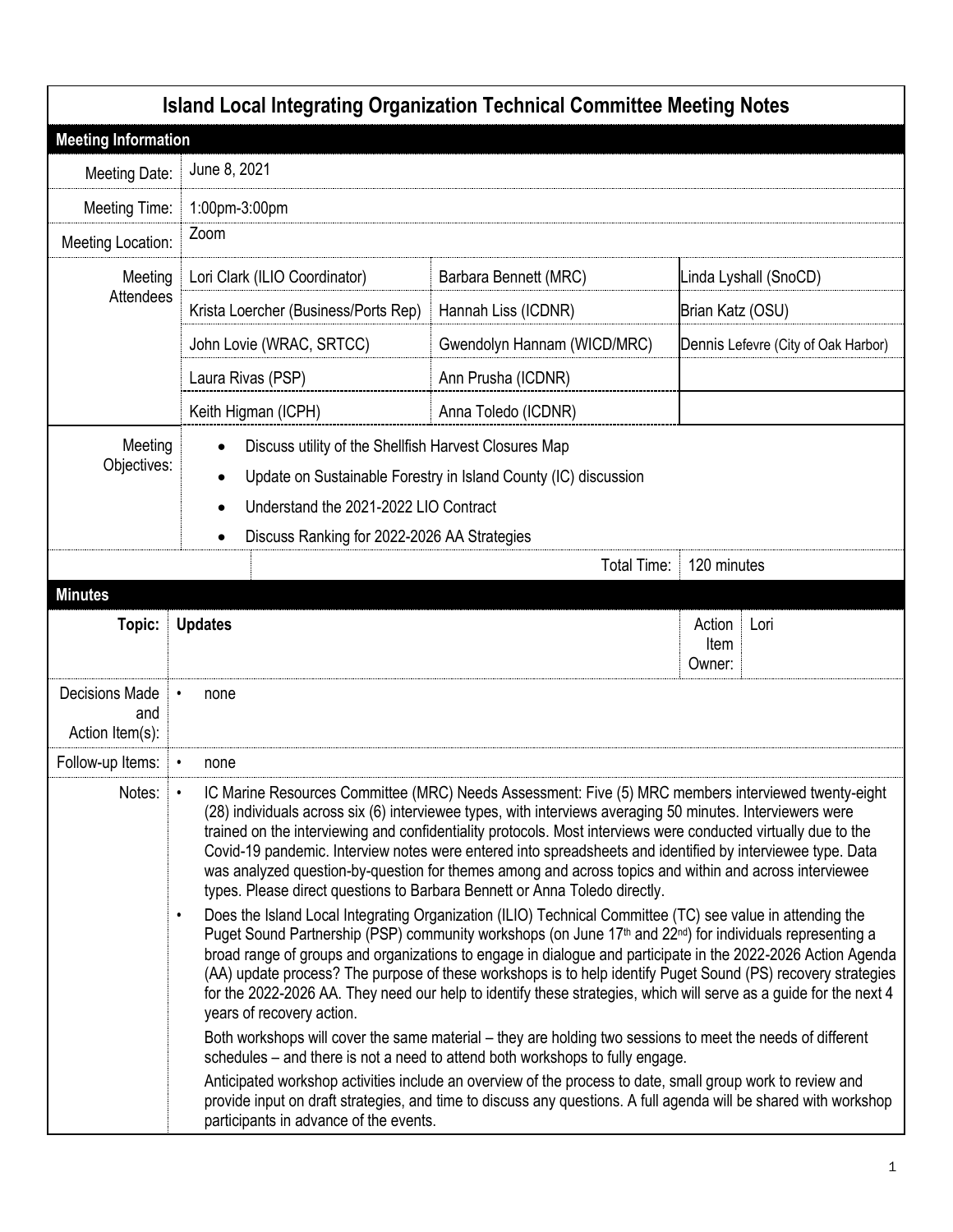| <b>Island Local Integrating Organization Technical Committee Meeting Notes</b> |                                                                                                                                                                                                                                                                                                                                                                                                                                                                                                                                                                                                                                                                                                                                                                                                                                                                                                                                                                                                                                                                                                                                                                                                                                                                                                                                                                                              |                             |                                     |  |
|--------------------------------------------------------------------------------|----------------------------------------------------------------------------------------------------------------------------------------------------------------------------------------------------------------------------------------------------------------------------------------------------------------------------------------------------------------------------------------------------------------------------------------------------------------------------------------------------------------------------------------------------------------------------------------------------------------------------------------------------------------------------------------------------------------------------------------------------------------------------------------------------------------------------------------------------------------------------------------------------------------------------------------------------------------------------------------------------------------------------------------------------------------------------------------------------------------------------------------------------------------------------------------------------------------------------------------------------------------------------------------------------------------------------------------------------------------------------------------------|-----------------------------|-------------------------------------|--|
| <b>Meeting Information</b>                                                     |                                                                                                                                                                                                                                                                                                                                                                                                                                                                                                                                                                                                                                                                                                                                                                                                                                                                                                                                                                                                                                                                                                                                                                                                                                                                                                                                                                                              |                             |                                     |  |
| Meeting Date:                                                                  | June 8, 2021                                                                                                                                                                                                                                                                                                                                                                                                                                                                                                                                                                                                                                                                                                                                                                                                                                                                                                                                                                                                                                                                                                                                                                                                                                                                                                                                                                                 |                             |                                     |  |
| Meeting Time:                                                                  | 1:00pm-3:00pm                                                                                                                                                                                                                                                                                                                                                                                                                                                                                                                                                                                                                                                                                                                                                                                                                                                                                                                                                                                                                                                                                                                                                                                                                                                                                                                                                                                |                             |                                     |  |
| Meeting Location:                                                              | Zoom                                                                                                                                                                                                                                                                                                                                                                                                                                                                                                                                                                                                                                                                                                                                                                                                                                                                                                                                                                                                                                                                                                                                                                                                                                                                                                                                                                                         |                             |                                     |  |
| Meeting                                                                        | Lori Clark (ILIO Coordinator)                                                                                                                                                                                                                                                                                                                                                                                                                                                                                                                                                                                                                                                                                                                                                                                                                                                                                                                                                                                                                                                                                                                                                                                                                                                                                                                                                                | Barbara Bennett (MRC)       | Linda Lyshall (SnoCD)               |  |
| Attendees                                                                      | Krista Loercher (Business/Ports Rep)                                                                                                                                                                                                                                                                                                                                                                                                                                                                                                                                                                                                                                                                                                                                                                                                                                                                                                                                                                                                                                                                                                                                                                                                                                                                                                                                                         | Hannah Liss (ICDNR)         | Brian Katz (OSU)                    |  |
|                                                                                | John Lovie (WRAC, SRTCC)                                                                                                                                                                                                                                                                                                                                                                                                                                                                                                                                                                                                                                                                                                                                                                                                                                                                                                                                                                                                                                                                                                                                                                                                                                                                                                                                                                     | Gwendolyn Hannam (WICD/MRC) | Dennis Lefevre (City of Oak Harbor) |  |
|                                                                                | Laura Rivas (PSP)                                                                                                                                                                                                                                                                                                                                                                                                                                                                                                                                                                                                                                                                                                                                                                                                                                                                                                                                                                                                                                                                                                                                                                                                                                                                                                                                                                            | Ann Prusha (ICDNR)          |                                     |  |
|                                                                                | Keith Higman (ICPH)                                                                                                                                                                                                                                                                                                                                                                                                                                                                                                                                                                                                                                                                                                                                                                                                                                                                                                                                                                                                                                                                                                                                                                                                                                                                                                                                                                          | Anna Toledo (ICDNR)         |                                     |  |
| Meeting<br>Objectives:                                                         | Discuss utility of the Shellfish Harvest Closures Map<br>Update on Sustainable Forestry in Island County (IC) discussion<br>$\bullet$<br>Understand the 2021-2022 LIO Contract<br>Discuss Ranking for 2022-2026 AA Strategies<br>$\bullet$                                                                                                                                                                                                                                                                                                                                                                                                                                                                                                                                                                                                                                                                                                                                                                                                                                                                                                                                                                                                                                                                                                                                                   |                             |                                     |  |
|                                                                                |                                                                                                                                                                                                                                                                                                                                                                                                                                                                                                                                                                                                                                                                                                                                                                                                                                                                                                                                                                                                                                                                                                                                                                                                                                                                                                                                                                                              | Total Time:                 | 120 minutes                         |  |
| <b>Minutes</b><br>Topic:                                                       | <b>Updates</b>                                                                                                                                                                                                                                                                                                                                                                                                                                                                                                                                                                                                                                                                                                                                                                                                                                                                                                                                                                                                                                                                                                                                                                                                                                                                                                                                                                               |                             | Action<br>Lori<br>Item<br>Owner:    |  |
| <b>Decisions Made</b><br>and<br>Action Item(s):                                | none                                                                                                                                                                                                                                                                                                                                                                                                                                                                                                                                                                                                                                                                                                                                                                                                                                                                                                                                                                                                                                                                                                                                                                                                                                                                                                                                                                                         |                             |                                     |  |
| Follow-up Items:                                                               | none                                                                                                                                                                                                                                                                                                                                                                                                                                                                                                                                                                                                                                                                                                                                                                                                                                                                                                                                                                                                                                                                                                                                                                                                                                                                                                                                                                                         |                             |                                     |  |
| Notes:                                                                         | IC Marine Resources Committee (MRC) Needs Assessment: Five (5) MRC members interviewed twenty-eight<br>$\bullet$<br>(28) individuals across six (6) interviewee types, with interviews averaging 50 minutes. Interviewers were<br>trained on the interviewing and confidentiality protocols. Most interviews were conducted virtually due to the<br>Covid-19 pandemic. Interview notes were entered into spreadsheets and identified by interviewee type. Data<br>was analyzed question-by-question for themes among and across topics and within and across interviewee<br>types. Please direct questions to Barbara Bennett or Anna Toledo directly.<br>Does the Island Local Integrating Organization (ILIO) Technical Committee (TC) see value in attending the<br>$\bullet$<br>Puget Sound Partnership (PSP) community workshops (on June 17th and 22nd) for individuals representing a<br>broad range of groups and organizations to engage in dialogue and participate in the 2022-2026 Action Agenda<br>(AA) update process? The purpose of these workshops is to help identify Puget Sound (PS) recovery strategies<br>for the 2022-2026 AA. They need our help to identify these strategies, which will serve as a guide for the next 4<br>years of recovery action.<br>Both workshops will cover the same material – they are holding two sessions to meet the needs of different |                             |                                     |  |
|                                                                                | schedules – and there is not a need to attend both workshops to fully engage.<br>Anticipated workshop activities include an overview of the process to date, small group work to review and<br>provide input on draft strategies, and time to discuss any questions. A full agenda will be shared with workshop<br>participants in advance of the events.                                                                                                                                                                                                                                                                                                                                                                                                                                                                                                                                                                                                                                                                                                                                                                                                                                                                                                                                                                                                                                    |                             |                                     |  |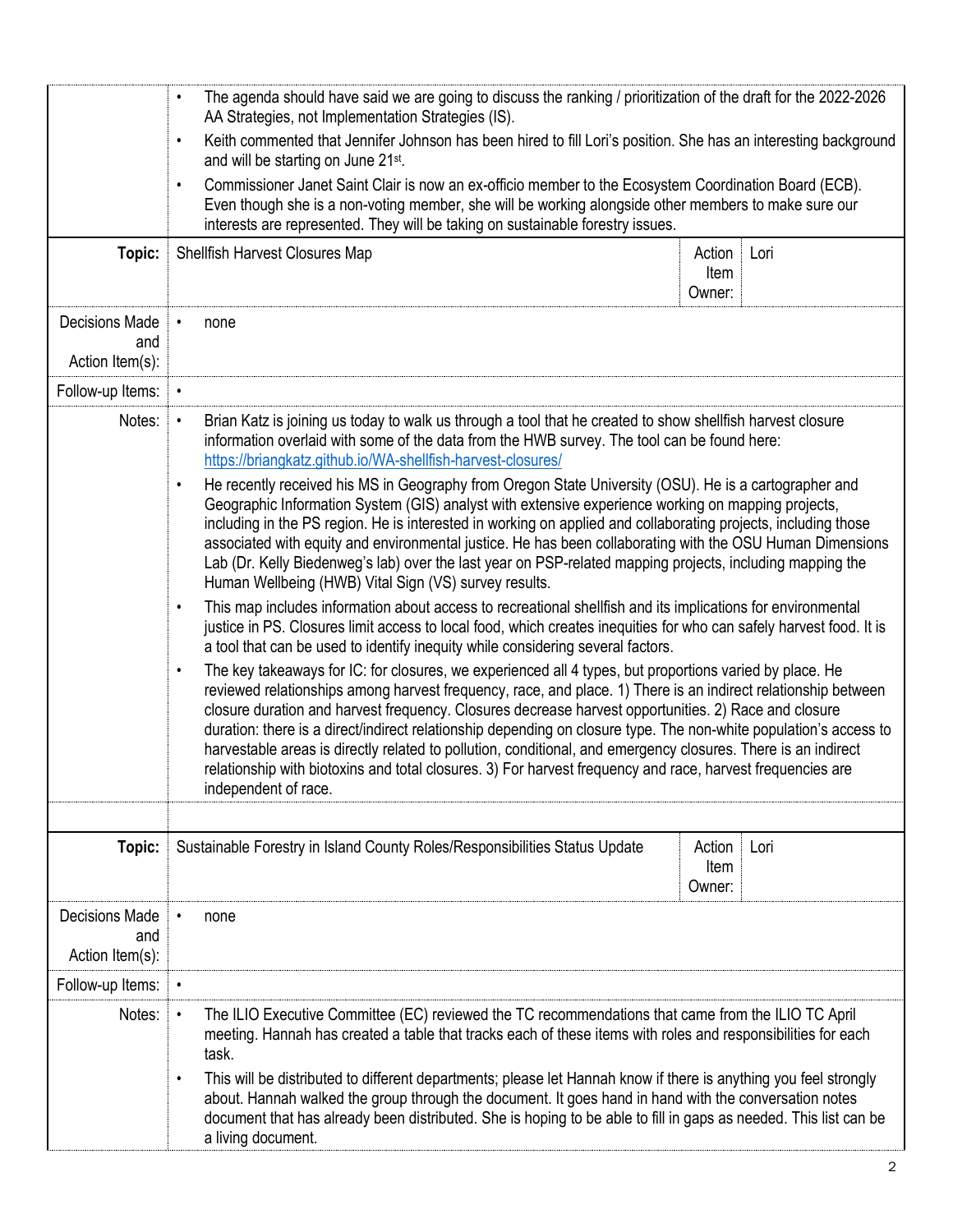|                                                 | The agenda should have said we are going to discuss the ranking / prioritization of the draft for the 2022-2026<br>$\bullet$<br>AA Strategies, not Implementation Strategies (IS).                                                                                                                                                                                                                                                                                                                                                                                                                                                                                                                                        |                          |      |  |
|-------------------------------------------------|---------------------------------------------------------------------------------------------------------------------------------------------------------------------------------------------------------------------------------------------------------------------------------------------------------------------------------------------------------------------------------------------------------------------------------------------------------------------------------------------------------------------------------------------------------------------------------------------------------------------------------------------------------------------------------------------------------------------------|--------------------------|------|--|
|                                                 | Keith commented that Jennifer Johnson has been hired to fill Lori's position. She has an interesting background<br>$\bullet$<br>and will be starting on June 21st.<br>Commissioner Janet Saint Clair is now an ex-officio member to the Ecosystem Coordination Board (ECB).<br>$\bullet$<br>Even though she is a non-voting member, she will be working alongside other members to make sure our<br>interests are represented. They will be taking on sustainable forestry issues.                                                                                                                                                                                                                                        |                          |      |  |
|                                                 |                                                                                                                                                                                                                                                                                                                                                                                                                                                                                                                                                                                                                                                                                                                           |                          |      |  |
| Topic:                                          | Shellfish Harvest Closures Map                                                                                                                                                                                                                                                                                                                                                                                                                                                                                                                                                                                                                                                                                            | Action<br>Item<br>Owner: | Lori |  |
| <b>Decisions Made</b><br>and<br>Action Item(s): | none                                                                                                                                                                                                                                                                                                                                                                                                                                                                                                                                                                                                                                                                                                                      |                          |      |  |
| Follow-up Items:                                |                                                                                                                                                                                                                                                                                                                                                                                                                                                                                                                                                                                                                                                                                                                           |                          |      |  |
| Notes:                                          | Brian Katz is joining us today to walk us through a tool that he created to show shellfish harvest closure<br>$\bullet$<br>information overlaid with some of the data from the HWB survey. The tool can be found here:<br>https://briangkatz.github.io/WA-shellfish-harvest-closures/                                                                                                                                                                                                                                                                                                                                                                                                                                     |                          |      |  |
|                                                 | He recently received his MS in Geography from Oregon State University (OSU). He is a cartographer and<br>$\bullet$<br>Geographic Information System (GIS) analyst with extensive experience working on mapping projects,<br>including in the PS region. He is interested in working on applied and collaborating projects, including those<br>associated with equity and environmental justice. He has been collaborating with the OSU Human Dimensions<br>Lab (Dr. Kelly Biedenweg's lab) over the last year on PSP-related mapping projects, including mapping the<br>Human Wellbeing (HWB) Vital Sign (VS) survey results.                                                                                             |                          |      |  |
|                                                 | This map includes information about access to recreational shellfish and its implications for environmental<br>$\bullet$<br>justice in PS. Closures limit access to local food, which creates inequities for who can safely harvest food. It is<br>a tool that can be used to identify inequity while considering several factors.                                                                                                                                                                                                                                                                                                                                                                                        |                          |      |  |
|                                                 | The key takeaways for IC: for closures, we experienced all 4 types, but proportions varied by place. He<br>$\bullet$<br>reviewed relationships among harvest frequency, race, and place. 1) There is an indirect relationship between<br>closure duration and harvest frequency. Closures decrease harvest opportunities. 2) Race and closure<br>duration: there is a direct/indirect relationship depending on closure type. The non-white population's access to<br>harvestable areas is directly related to pollution, conditional, and emergency closures. There is an indirect<br>relationship with biotoxins and total closures. 3) For harvest frequency and race, harvest frequencies are<br>independent of race. |                          |      |  |
|                                                 |                                                                                                                                                                                                                                                                                                                                                                                                                                                                                                                                                                                                                                                                                                                           |                          |      |  |
| Topic:                                          | Sustainable Forestry in Island County Roles/Responsibilities Status Update                                                                                                                                                                                                                                                                                                                                                                                                                                                                                                                                                                                                                                                | Action<br>Item<br>Owner: | Lori |  |
| <b>Decisions Made</b><br>and<br>Action Item(s): | none                                                                                                                                                                                                                                                                                                                                                                                                                                                                                                                                                                                                                                                                                                                      |                          |      |  |
| Follow-up Items:                                | $\bullet$                                                                                                                                                                                                                                                                                                                                                                                                                                                                                                                                                                                                                                                                                                                 |                          |      |  |
| Notes:                                          | The ILIO Executive Committee (EC) reviewed the TC recommendations that came from the ILIO TC April<br>$\bullet$<br>meeting. Hannah has created a table that tracks each of these items with roles and responsibilities for each<br>task.                                                                                                                                                                                                                                                                                                                                                                                                                                                                                  |                          |      |  |
|                                                 | This will be distributed to different departments; please let Hannah know if there is anything you feel strongly<br>$\bullet$<br>about. Hannah walked the group through the document. It goes hand in hand with the conversation notes<br>document that has already been distributed. She is hoping to be able to fill in gaps as needed. This list can be<br>a living document.                                                                                                                                                                                                                                                                                                                                          |                          |      |  |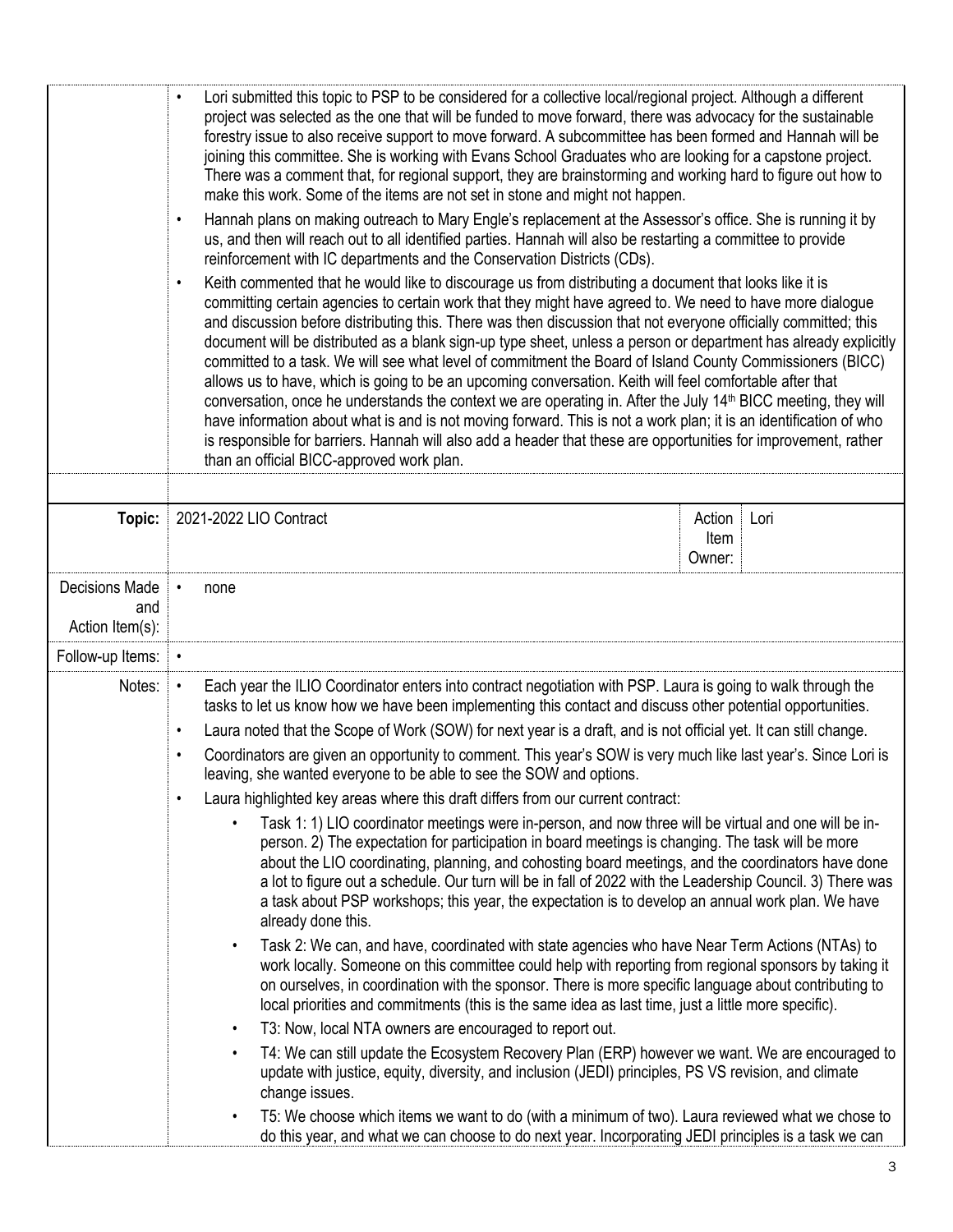|                                                 | Lori submitted this topic to PSP to be considered for a collective local/regional project. Although a different<br>project was selected as the one that will be funded to move forward, there was advocacy for the sustainable<br>forestry issue to also receive support to move forward. A subcommittee has been formed and Hannah will be<br>joining this committee. She is working with Evans School Graduates who are looking for a capstone project.<br>There was a comment that, for regional support, they are brainstorming and working hard to figure out how to<br>make this work. Some of the items are not set in stone and might not happen.<br>Hannah plans on making outreach to Mary Engle's replacement at the Assessor's office. She is running it by<br>$\bullet$<br>us, and then will reach out to all identified parties. Hannah will also be restarting a committee to provide<br>reinforcement with IC departments and the Conservation Districts (CDs).<br>Keith commented that he would like to discourage us from distributing a document that looks like it is<br>$\bullet$<br>committing certain agencies to certain work that they might have agreed to. We need to have more dialogue<br>and discussion before distributing this. There was then discussion that not everyone officially committed; this<br>document will be distributed as a blank sign-up type sheet, unless a person or department has already explicitly<br>committed to a task. We will see what level of commitment the Board of Island County Commissioners (BICC)<br>allows us to have, which is going to be an upcoming conversation. Keith will feel comfortable after that<br>conversation, once he understands the context we are operating in. After the July 14 <sup>th</sup> BICC meeting, they will<br>have information about what is and is not moving forward. This is not a work plan; it is an identification of who<br>is responsible for barriers. Hannah will also add a header that these are opportunities for improvement, rather<br>than an official BICC-approved work plan.                                                                                                                         |  |
|-------------------------------------------------|--------------------------------------------------------------------------------------------------------------------------------------------------------------------------------------------------------------------------------------------------------------------------------------------------------------------------------------------------------------------------------------------------------------------------------------------------------------------------------------------------------------------------------------------------------------------------------------------------------------------------------------------------------------------------------------------------------------------------------------------------------------------------------------------------------------------------------------------------------------------------------------------------------------------------------------------------------------------------------------------------------------------------------------------------------------------------------------------------------------------------------------------------------------------------------------------------------------------------------------------------------------------------------------------------------------------------------------------------------------------------------------------------------------------------------------------------------------------------------------------------------------------------------------------------------------------------------------------------------------------------------------------------------------------------------------------------------------------------------------------------------------------------------------------------------------------------------------------------------------------------------------------------------------------------------------------------------------------------------------------------------------------------------------------------------------------------------------------------------------------------------------------------------------------------------------------------------------------------------|--|
| Topic:                                          | 2021-2022 LIO Contract<br>Action<br>Lori<br>Item<br>Owner:                                                                                                                                                                                                                                                                                                                                                                                                                                                                                                                                                                                                                                                                                                                                                                                                                                                                                                                                                                                                                                                                                                                                                                                                                                                                                                                                                                                                                                                                                                                                                                                                                                                                                                                                                                                                                                                                                                                                                                                                                                                                                                                                                                     |  |
| <b>Decisions Made</b><br>and<br>Action Item(s): | none                                                                                                                                                                                                                                                                                                                                                                                                                                                                                                                                                                                                                                                                                                                                                                                                                                                                                                                                                                                                                                                                                                                                                                                                                                                                                                                                                                                                                                                                                                                                                                                                                                                                                                                                                                                                                                                                                                                                                                                                                                                                                                                                                                                                                           |  |
| Follow-up Items:                                |                                                                                                                                                                                                                                                                                                                                                                                                                                                                                                                                                                                                                                                                                                                                                                                                                                                                                                                                                                                                                                                                                                                                                                                                                                                                                                                                                                                                                                                                                                                                                                                                                                                                                                                                                                                                                                                                                                                                                                                                                                                                                                                                                                                                                                |  |
| Notes:                                          | Each year the ILIO Coordinator enters into contract negotiation with PSP. Laura is going to walk through the<br>$\bullet$<br>tasks to let us know how we have been implementing this contact and discuss other potential opportunities.<br>Laura noted that the Scope of Work (SOW) for next year is a draft, and is not official yet. It can still change.<br>$\bullet$<br>Coordinators are given an opportunity to comment. This year's SOW is very much like last year's. Since Lori is<br>$\bullet$<br>leaving, she wanted everyone to be able to see the SOW and options.<br>Laura highlighted key areas where this draft differs from our current contract:<br>$\bullet$<br>Task 1: 1) LIO coordinator meetings were in-person, and now three will be virtual and one will be in-<br>person. 2) The expectation for participation in board meetings is changing. The task will be more<br>about the LIO coordinating, planning, and cohosting board meetings, and the coordinators have done<br>a lot to figure out a schedule. Our turn will be in fall of 2022 with the Leadership Council. 3) There was<br>a task about PSP workshops; this year, the expectation is to develop an annual work plan. We have<br>already done this.<br>Task 2: We can, and have, coordinated with state agencies who have Near Term Actions (NTAs) to<br>$\bullet$<br>work locally. Someone on this committee could help with reporting from regional sponsors by taking it<br>on ourselves, in coordination with the sponsor. There is more specific language about contributing to<br>local priorities and commitments (this is the same idea as last time, just a little more specific).<br>T3: Now, local NTA owners are encouraged to report out.<br>$\bullet$<br>T4: We can still update the Ecosystem Recovery Plan (ERP) however we want. We are encouraged to<br>$\bullet$<br>update with justice, equity, diversity, and inclusion (JEDI) principles, PS VS revision, and climate<br>change issues.<br>T5: We choose which items we want to do (with a minimum of two). Laura reviewed what we chose to<br>$\bullet$<br>do this year, and what we can choose to do next year. Incorporating JEDI principles is a task we can |  |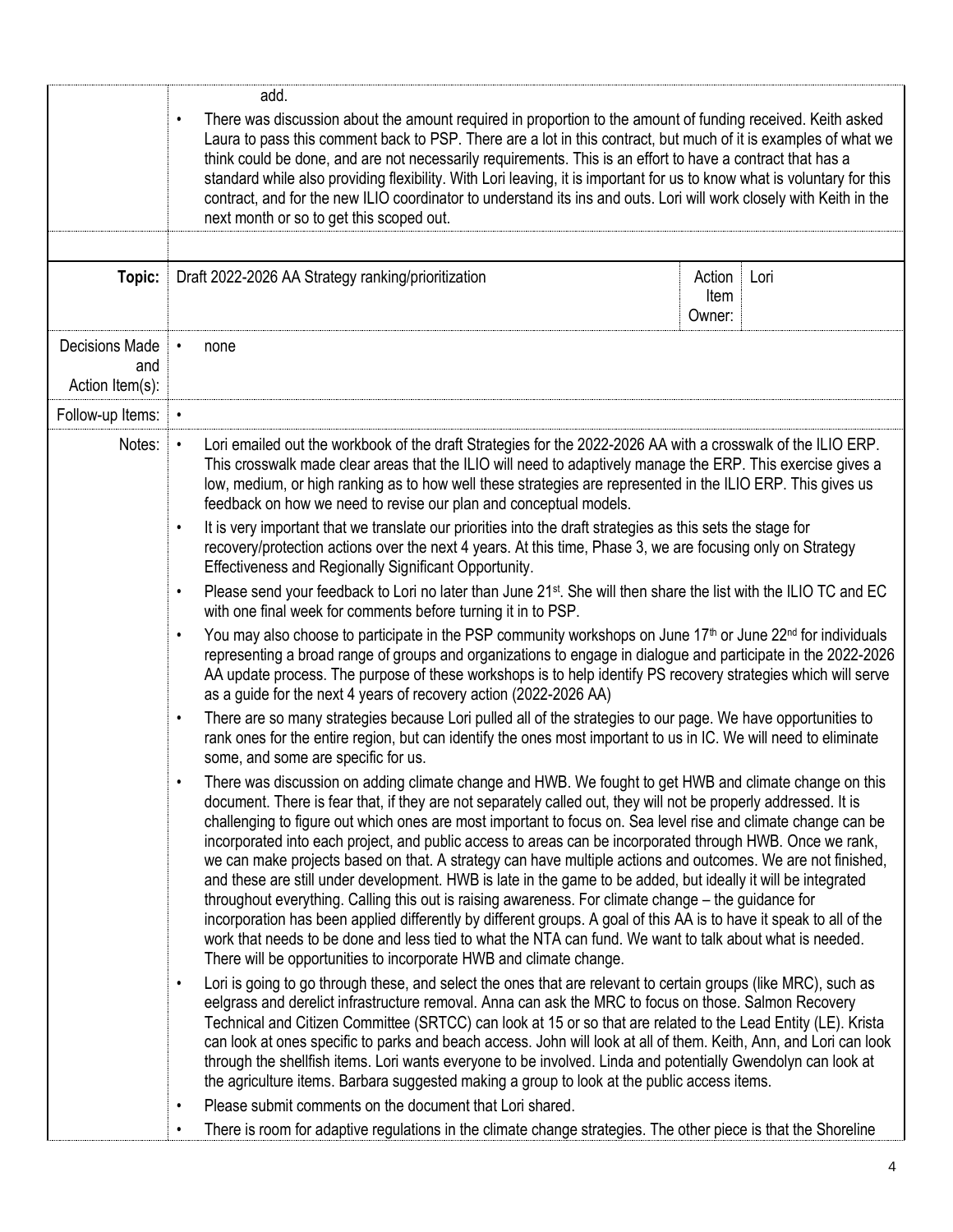|                                                 | add.<br>There was discussion about the amount required in proportion to the amount of funding received. Keith asked<br>$\bullet$<br>Laura to pass this comment back to PSP. There are a lot in this contract, but much of it is examples of what we<br>think could be done, and are not necessarily requirements. This is an effort to have a contract that has a<br>standard while also providing flexibility. With Lori leaving, it is important for us to know what is voluntary for this<br>contract, and for the new ILIO coordinator to understand its ins and outs. Lori will work closely with Keith in the<br>next month or so to get this scoped out.                                                                                                                                                                                                                                                                                                                                                                                                                                         |                          |      |  |
|-------------------------------------------------|---------------------------------------------------------------------------------------------------------------------------------------------------------------------------------------------------------------------------------------------------------------------------------------------------------------------------------------------------------------------------------------------------------------------------------------------------------------------------------------------------------------------------------------------------------------------------------------------------------------------------------------------------------------------------------------------------------------------------------------------------------------------------------------------------------------------------------------------------------------------------------------------------------------------------------------------------------------------------------------------------------------------------------------------------------------------------------------------------------|--------------------------|------|--|
| Topic:                                          | Draft 2022-2026 AA Strategy ranking/prioritization                                                                                                                                                                                                                                                                                                                                                                                                                                                                                                                                                                                                                                                                                                                                                                                                                                                                                                                                                                                                                                                      | Action<br>Item<br>Owner: | Lori |  |
| <b>Decisions Made</b><br>and<br>Action Item(s): | none                                                                                                                                                                                                                                                                                                                                                                                                                                                                                                                                                                                                                                                                                                                                                                                                                                                                                                                                                                                                                                                                                                    |                          |      |  |
| Follow-up Items:                                |                                                                                                                                                                                                                                                                                                                                                                                                                                                                                                                                                                                                                                                                                                                                                                                                                                                                                                                                                                                                                                                                                                         |                          |      |  |
| Notes:                                          | Lori emailed out the workbook of the draft Strategies for the 2022-2026 AA with a crosswalk of the ILIO ERP.<br>$\bullet$<br>This crosswalk made clear areas that the ILIO will need to adaptively manage the ERP. This exercise gives a<br>low, medium, or high ranking as to how well these strategies are represented in the ILIO ERP. This gives us<br>feedback on how we need to revise our plan and conceptual models.                                                                                                                                                                                                                                                                                                                                                                                                                                                                                                                                                                                                                                                                            |                          |      |  |
|                                                 | It is very important that we translate our priorities into the draft strategies as this sets the stage for<br>$\bullet$<br>recovery/protection actions over the next 4 years. At this time, Phase 3, we are focusing only on Strategy<br>Effectiveness and Regionally Significant Opportunity.                                                                                                                                                                                                                                                                                                                                                                                                                                                                                                                                                                                                                                                                                                                                                                                                          |                          |      |  |
|                                                 | Please send your feedback to Lori no later than June 21 <sup>st</sup> . She will then share the list with the ILIO TC and EC<br>$\bullet$<br>with one final week for comments before turning it in to PSP.                                                                                                                                                                                                                                                                                                                                                                                                                                                                                                                                                                                                                                                                                                                                                                                                                                                                                              |                          |      |  |
|                                                 | You may also choose to participate in the PSP community workshops on June 17 <sup>th</sup> or June 22 <sup>nd</sup> for individuals<br>$\bullet$<br>representing a broad range of groups and organizations to engage in dialogue and participate in the 2022-2026<br>AA update process. The purpose of these workshops is to help identify PS recovery strategies which will serve<br>as a guide for the next 4 years of recovery action (2022-2026 AA)                                                                                                                                                                                                                                                                                                                                                                                                                                                                                                                                                                                                                                                 |                          |      |  |
|                                                 | There are so many strategies because Lori pulled all of the strategies to our page. We have opportunities to<br>$\bullet$<br>rank ones for the entire region, but can identify the ones most important to us in IC. We will need to eliminate<br>some, and some are specific for us.                                                                                                                                                                                                                                                                                                                                                                                                                                                                                                                                                                                                                                                                                                                                                                                                                    |                          |      |  |
|                                                 | There was discussion on adding climate change and HWB. We fought to get HWB and climate change on this<br>document. There is fear that, if they are not separately called out, they will not be properly addressed. It is<br>challenging to figure out which ones are most important to focus on. Sea level rise and climate change can be<br>incorporated into each project, and public access to areas can be incorporated through HWB. Once we rank,<br>we can make projects based on that. A strategy can have multiple actions and outcomes. We are not finished,<br>and these are still under development. HWB is late in the game to be added, but ideally it will be integrated<br>throughout everything. Calling this out is raising awareness. For climate change – the guidance for<br>incorporation has been applied differently by different groups. A goal of this AA is to have it speak to all of the<br>work that needs to be done and less tied to what the NTA can fund. We want to talk about what is needed.<br>There will be opportunities to incorporate HWB and climate change. |                          |      |  |
|                                                 | Lori is going to go through these, and select the ones that are relevant to certain groups (like MRC), such as<br>$\bullet$<br>eelgrass and derelict infrastructure removal. Anna can ask the MRC to focus on those. Salmon Recovery<br>Technical and Citizen Committee (SRTCC) can look at 15 or so that are related to the Lead Entity (LE). Krista<br>can look at ones specific to parks and beach access. John will look at all of them. Keith, Ann, and Lori can look<br>through the shellfish items. Lori wants everyone to be involved. Linda and potentially Gwendolyn can look at<br>the agriculture items. Barbara suggested making a group to look at the public access items.<br>Please submit comments on the document that Lori shared.<br>$\bullet$                                                                                                                                                                                                                                                                                                                                      |                          |      |  |
|                                                 | There is room for adaptive regulations in the climate change strategies. The other piece is that the Shoreline<br>$\bullet$                                                                                                                                                                                                                                                                                                                                                                                                                                                                                                                                                                                                                                                                                                                                                                                                                                                                                                                                                                             |                          |      |  |